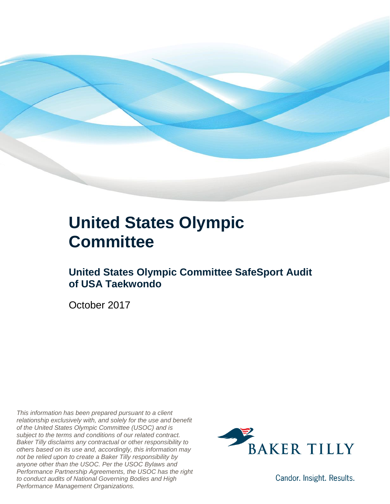

#### **United States Olympic Committee**

#### **United States Olympic Committee SafeSport Audit of USA Taekwondo**

October 2017

*This information has been prepared pursuant to a client relationship exclusively with, and solely for the use and benefit of the United States Olympic Committee (USOC) and is subject to the terms and conditions of our related contract. Baker Tilly disclaims any contractual or other responsibility to others based on its use and, accordingly, this information may not be relied upon to create a Baker Tilly responsibility by anyone other than the USOC. Per the USOC Bylaws and Performance Partnership Agreements, the USOC has the right to conduct audits of National Governing Bodies and High Performance Management Organizations.*



Candor. Insight. Results.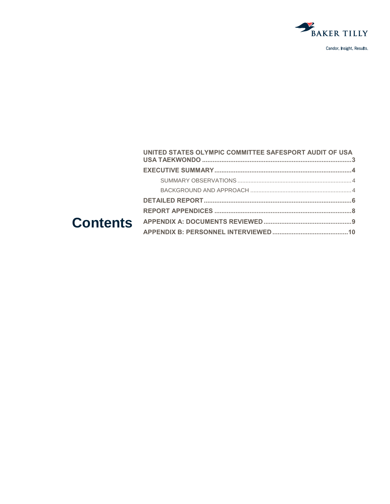

| UNITED STATES OLYMPIC COMMITTEE SAFESPORT AUDIT OF USA |  |
|--------------------------------------------------------|--|
|                                                        |  |
|                                                        |  |
|                                                        |  |
|                                                        |  |
|                                                        |  |
|                                                        |  |
|                                                        |  |
|                                                        |  |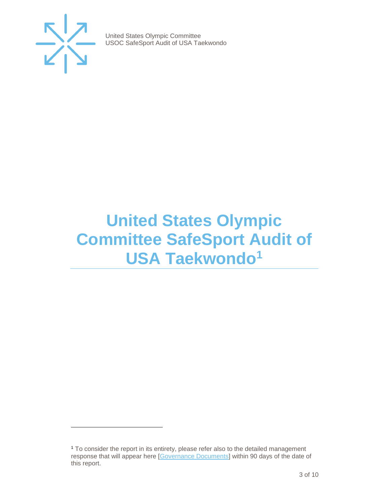

 $\overline{a}$ 

United States Olympic Committee USOC SafeSport Audit of USA Taekwondo

### <span id="page-2-0"></span>**United States Olympic Committee SafeSport Audit of USA Taekwondo<sup>1</sup>**

<sup>1</sup> To consider the report in its entirety, please refer also to the detailed management response that will appear here [\[Governance Documents\]](https://www.teamusa.org/Footer/Legal/Governance-Documents) within 90 days of the date of this report.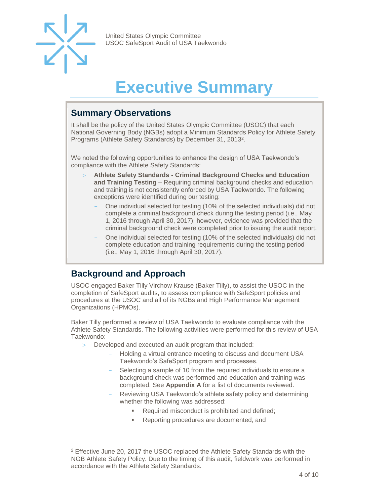

 $\overline{a}$ 

United States Olympic Committee USOC SafeSport Audit of USA Taekwondo

## **Executive Summary**

#### <span id="page-3-1"></span><span id="page-3-0"></span>**Summary Observations**

It shall be the policy of the United States Olympic Committee (USOC) that each National Governing Body (NGBs) adopt a Minimum Standards Policy for Athlete Safety Programs (Athlete Safety Standards) by December 31, 2013<sup>2</sup>.

We noted the following opportunities to enhance the design of USA Taekwondo's compliance with the Athlete Safety Standards:

- **Athlete Safety Standards - Criminal Background Checks and Education and Training Testing** – Requiring criminal background checks and education and training is not consistently enforced by USA Taekwondo. The following exceptions were identified during our testing:
	- One individual selected for testing (10% of the selected individuals) did not complete a criminal background check during the testing period (i.e., May 1, 2016 through April 30, 2017); however, evidence was provided that the criminal background check were completed prior to issuing the audit report.
	- One individual selected for testing (10% of the selected individuals) did not complete education and training requirements during the testing period (i.e., May 1, 2016 through April 30, 2017).

#### <span id="page-3-2"></span>**Background and Approach**

USOC engaged Baker Tilly Virchow Krause (Baker Tilly), to assist the USOC in the completion of SafeSport audits, to assess compliance with SafeSport policies and procedures at the USOC and all of its NGBs and High Performance Management Organizations (HPMOs).

<span id="page-3-3"></span>Baker Tilly performed a review of USA Taekwondo to evaluate compliance with the Athlete Safety Standards. The following activities were performed for this review of USA Taekwondo:

- Developed and executed an audit program that included:
	- Holding a virtual entrance meeting to discuss and document USA Taekwondo's SafeSport program and processes.
	- Selecting a sample of 10 from the required individuals to ensure a background check was performed and education and training was completed. See **Appendix A** for a list of documents reviewed.
	- Reviewing USA Taekwondo's athlete safety policy and determining whether the following was addressed:
		- Required misconduct is prohibited and defined;
		- Reporting procedures are documented; and

<sup>2</sup> Effective June 20, 2017 the USOC replaced the Athlete Safety Standards with the NGB Athlete Safety Policy. Due to the timing of this audit, fieldwork was performed in accordance with the Athlete Safety Standards.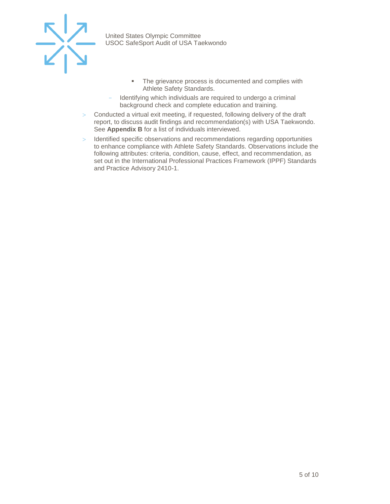

- **•** The grievance process is documented and complies with Athlete Safety Standards.
- Identifying which individuals are required to undergo a criminal background check and complete education and training.
- Conducted a virtual exit meeting, if requested, following delivery of the draft report, to discuss audit findings and recommendation(s) with USA Taekwondo. See **Appendix B** for a list of individuals interviewed.
- > Identified specific observations and recommendations regarding opportunities to enhance compliance with Athlete Safety Standards. Observations include the following attributes: criteria, condition, cause, effect, and recommendation, as set out in the International Professional Practices Framework (IPPF) Standards and Practice Advisory 2410-1.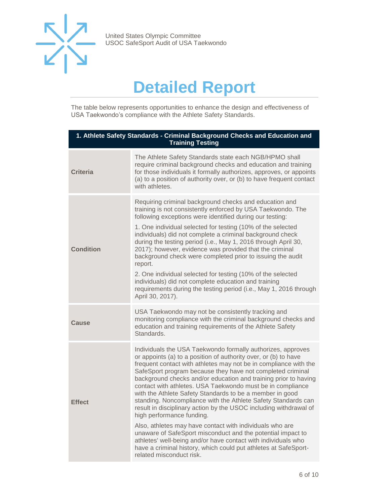

## **Detailed Report**

The table below represents opportunities to enhance the design and effectiveness of USA Taekwondo's compliance with the Athlete Safety Standards.

| 1. Athlete Safety Standards - Criminal Background Checks and Education and<br><b>Training Testing</b> |                                                                                                                                                                                                                                                                                                                                                                                                                                                                                                                                                                                                                                                                                                                                                                                                                                                                                                                             |  |
|-------------------------------------------------------------------------------------------------------|-----------------------------------------------------------------------------------------------------------------------------------------------------------------------------------------------------------------------------------------------------------------------------------------------------------------------------------------------------------------------------------------------------------------------------------------------------------------------------------------------------------------------------------------------------------------------------------------------------------------------------------------------------------------------------------------------------------------------------------------------------------------------------------------------------------------------------------------------------------------------------------------------------------------------------|--|
| <b>Criteria</b>                                                                                       | The Athlete Safety Standards state each NGB/HPMO shall<br>require criminal background checks and education and training<br>for those individuals it formally authorizes, approves, or appoints<br>(a) to a position of authority over, or (b) to have frequent contact<br>with athletes.                                                                                                                                                                                                                                                                                                                                                                                                                                                                                                                                                                                                                                    |  |
| <b>Condition</b>                                                                                      | Requiring criminal background checks and education and<br>training is not consistently enforced by USA Taekwondo. The<br>following exceptions were identified during our testing:<br>1. One individual selected for testing (10% of the selected<br>individuals) did not complete a criminal background check<br>during the testing period (i.e., May 1, 2016 through April 30,<br>2017); however, evidence was provided that the criminal<br>background check were completed prior to issuing the audit<br>report.<br>2. One individual selected for testing (10% of the selected<br>individuals) did not complete education and training<br>requirements during the testing period (i.e., May 1, 2016 through<br>April 30, 2017).                                                                                                                                                                                         |  |
| Cause                                                                                                 | USA Taekwondo may not be consistently tracking and<br>monitoring compliance with the criminal background checks and<br>education and training requirements of the Athlete Safety<br>Standards.                                                                                                                                                                                                                                                                                                                                                                                                                                                                                                                                                                                                                                                                                                                              |  |
| <b>Effect</b>                                                                                         | Individuals the USA Taekwondo formally authorizes, approves<br>or appoints (a) to a position of authority over, or (b) to have<br>frequent contact with athletes may not be in compliance with the<br>SafeSport program because they have not completed criminal<br>background checks and/or education and training prior to having<br>contact with athletes. USA Taekwondo must be in compliance<br>with the Athlete Safety Standards to be a member in good<br>standing. Noncompliance with the Athlete Safety Standards can<br>result in disciplinary action by the USOC including withdrawal of<br>high performance funding.<br>Also, athletes may have contact with individuals who are<br>unaware of SafeSport misconduct and the potential impact to<br>athletes' well-being and/or have contact with individuals who<br>have a criminal history, which could put athletes at SafeSport-<br>related misconduct risk. |  |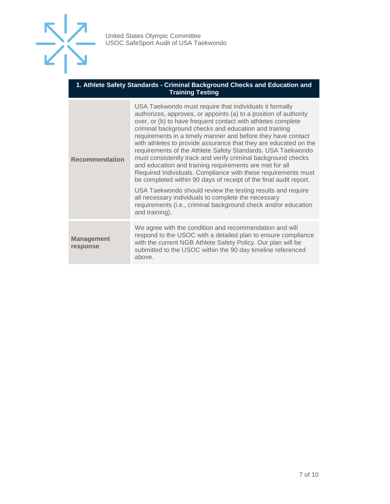

#### **1. Athlete Safety Standards - Criminal Background Checks and Education and Training Testing**

| <b>Recommendation</b>         | USA Taekwondo must require that individuals it formally<br>authorizes, approves, or appoints (a) to a position of authority<br>over, or (b) to have frequent contact with athletes complete<br>criminal background checks and education and training<br>requirements in a timely manner and before they have contact<br>with athletes to provide assurance that they are educated on the<br>requirements of the Athlete Safety Standards. USA Taekwondo<br>must consistently track and verify criminal background checks<br>and education and training requirements are met for all<br>Required Individuals. Compliance with these requirements must<br>be completed within 90 days of receipt of the final audit report.<br>USA Taekwondo should review the testing results and require<br>all necessary individuals to complete the necessary<br>requirements (i.e., criminal background check and/or education<br>and training). |
|-------------------------------|-------------------------------------------------------------------------------------------------------------------------------------------------------------------------------------------------------------------------------------------------------------------------------------------------------------------------------------------------------------------------------------------------------------------------------------------------------------------------------------------------------------------------------------------------------------------------------------------------------------------------------------------------------------------------------------------------------------------------------------------------------------------------------------------------------------------------------------------------------------------------------------------------------------------------------------|
| <b>Management</b><br>response | We agree with the condition and recommendation and will<br>respond to the USOC with a detailed plan to ensure compliance<br>with the current NGB Athlete Safety Policy. Our plan will be<br>submitted to the USOC within the 90 day timeline referenced<br>above.                                                                                                                                                                                                                                                                                                                                                                                                                                                                                                                                                                                                                                                                   |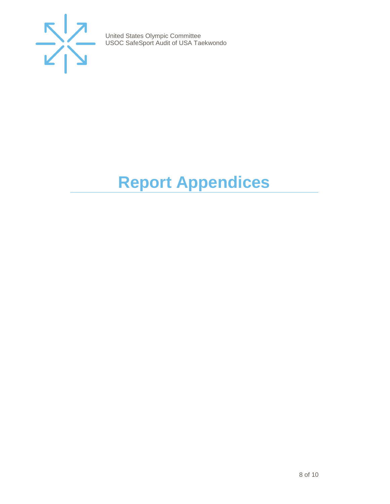

# <span id="page-7-0"></span>**Report Appendices**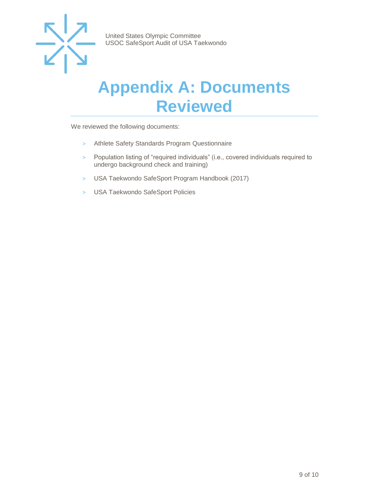

### <span id="page-8-0"></span>**Appendix A: Documents Reviewed**

We reviewed the following documents:

- > Athlete Safety Standards Program Questionnaire
- > Population listing of "required individuals" (i.e., covered individuals required to undergo background check and training)
- > USA Taekwondo SafeSport Program Handbook (2017)
- > USA Taekwondo SafeSport Policies